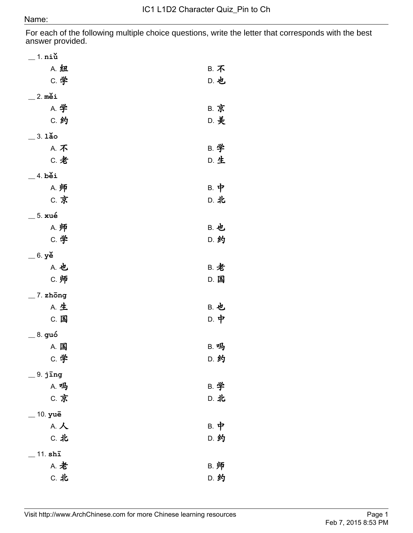For each of the following multiple choice questions, write the letter that corresponds with the best answer provided.

| $\_$ 1. niŭ          |             |
|----------------------|-------------|
| A. 纽                 | <b>B. 不</b> |
| <b>C. 学</b>          | D. 也        |
| $\_$ 2. měi          |             |
| A. 学                 | <b>B. 京</b> |
| C. 约                 | D. 美        |
| $=$ 3. $1\text{a}$ o |             |
| A. 不                 | B. 学        |
| C. 老                 | D. 生        |
| $=$ 4. běi           |             |
| A. 师                 | B. 中        |
| <b>C. 京</b>          | D. 北        |
| _ 5. xué             |             |
| A. 师                 | <b>B. 也</b> |
| C. 学                 | D. 约        |
| $=$ 6. yě            |             |
| A. 也                 | <b>B. 老</b> |
| C. 师                 | D. 国        |
| $\_$ 7. zhōng        |             |
| <b>A. 生</b>          | <b>B. 也</b> |
| C. 国                 | D. 中        |
| 8. guó               |             |
| A. 国                 | <b>B. 吗</b> |
| C. 学                 | D. 约        |
| $\_$ 9. jīng         |             |
| A. 吗                 | B. 学        |
| C. 京                 | D. 北        |
| $=$ 10. yuē          |             |
| A. 人                 | B. 中        |
| C. 北                 | D. 约        |
| $11.$ shī            |             |
| A. 老                 | B. 师        |
| C. 北                 | D. 约        |